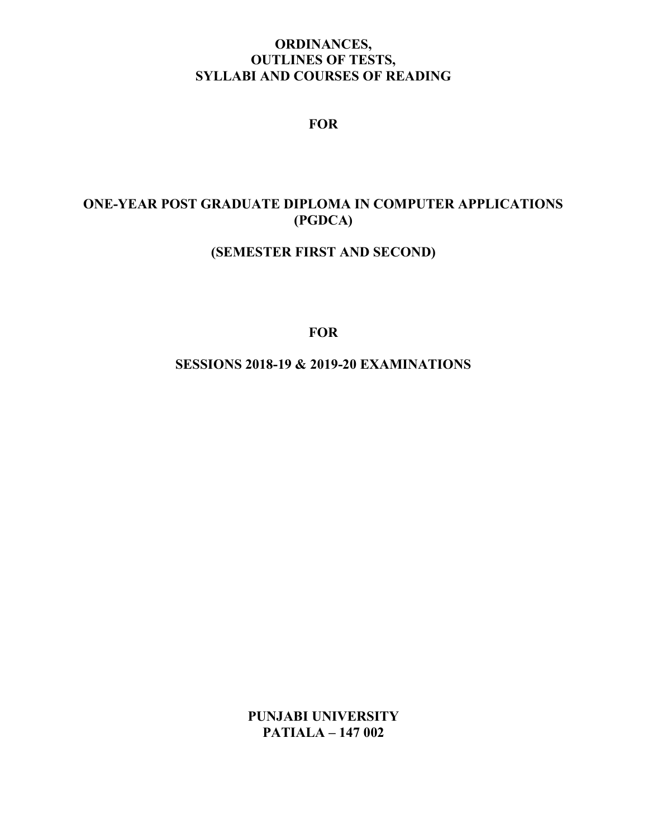# ORDINANCES, OUTLINES OF TESTS, SYLLABI AND COURSES OF READING

# FOR

# ONE-YEAR POST GRADUATE DIPLOMA IN COMPUTER APPLICATIONS (PGDCA)

# (SEMESTER FIRST AND SECOND)

**FOR** 

SESSIONS 2018-19 & 2019-20 EXAMINATIONS

PUNJABI UNIVERSITY PATIALA – 147 002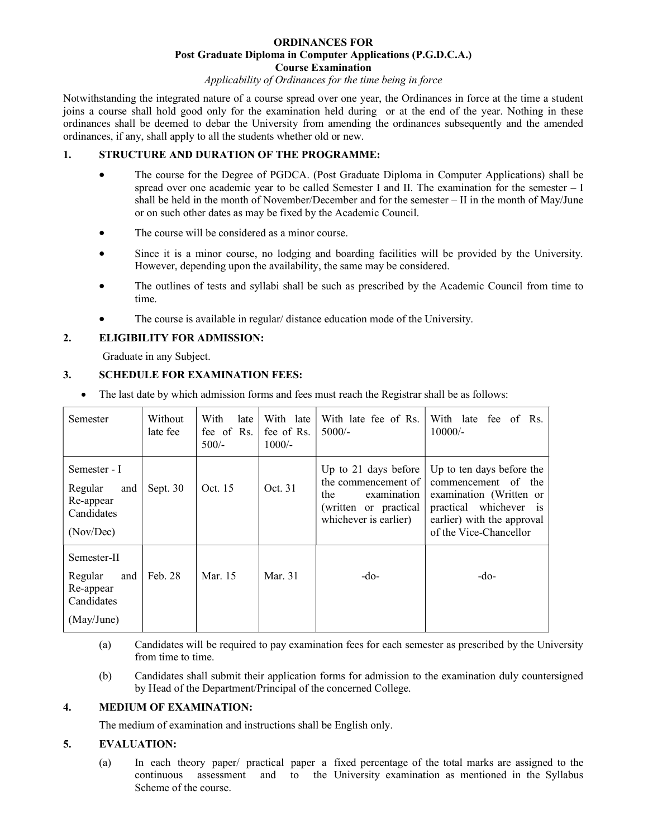## ORDINANCES FOR Post Graduate Diploma in Computer Applications (P.G.D.C.A.) Course Examination

#### Applicability of Ordinances for the time being in force

Notwithstanding the integrated nature of a course spread over one year, the Ordinances in force at the time a student joins a course shall hold good only for the examination held during or at the end of the year. Nothing in these ordinances shall be deemed to debar the University from amending the ordinances subsequently and the amended ordinances, if any, shall apply to all the students whether old or new.

## 1. STRUCTURE AND DURATION OF THE PROGRAMME:

- The course for the Degree of PGDCA. (Post Graduate Diploma in Computer Applications) shall be spread over one academic year to be called Semester I and II. The examination for the semester – I shall be held in the month of November/December and for the semester – II in the month of May/June or on such other dates as may be fixed by the Academic Council.
- The course will be considered as a minor course.
- Since it is a minor course, no lodging and boarding facilities will be provided by the University. However, depending upon the availability, the same may be considered.
- The outlines of tests and syllabi shall be such as prescribed by the Academic Council from time to time.
- The course is available in regular/ distance education mode of the University.

## 2. ELIGIBILITY FOR ADMISSION:

Graduate in any Subject.

## 3. SCHEDULE FOR EXAMINATION FEES:

• The last date by which admission forms and fees must reach the Registrar shall be as follows:

| Semester                                                               | Without<br>late fee | With<br>late<br>fee of Rs.<br>$500/-$ | With late<br>fee of Rs.<br>$1000/-$ | With late fee of Rs.<br>$5000/-$                                                                                    | With late<br>fee of Rs.<br>$10000/-$                                                                                                                                |
|------------------------------------------------------------------------|---------------------|---------------------------------------|-------------------------------------|---------------------------------------------------------------------------------------------------------------------|---------------------------------------------------------------------------------------------------------------------------------------------------------------------|
| Semester - I<br>Regular<br>and<br>Re-appear<br>Candidates<br>(Nov/Dec) | Sept. 30            | Oct. 15                               | Oct. 31                             | Up to 21 days before<br>the commencement of<br>the<br>examination<br>(written or practical<br>whichever is earlier) | Up to ten days before the<br>commencement of the<br>examination (Written or<br>whichever<br>practical<br>1S<br>earlier) with the approval<br>of the Vice-Chancellor |
| Semester-II<br>Regular<br>and<br>Re-appear<br>Candidates<br>(May/June) | Feb. 28             | Mar. 15                               | Mar. 31                             | -do-                                                                                                                | -do-                                                                                                                                                                |

- (a) Candidates will be required to pay examination fees for each semester as prescribed by the University from time to time.
- (b) Candidates shall submit their application forms for admission to the examination duly countersigned by Head of the Department/Principal of the concerned College.

#### 4. MEDIUM OF EXAMINATION:

The medium of examination and instructions shall be English only.

#### 5. EVALUATION:

(a) In each theory paper/ practical paper a fixed percentage of the total marks are assigned to the continuous assessment and to the University examination as mentioned in the Syllabus Scheme of the course.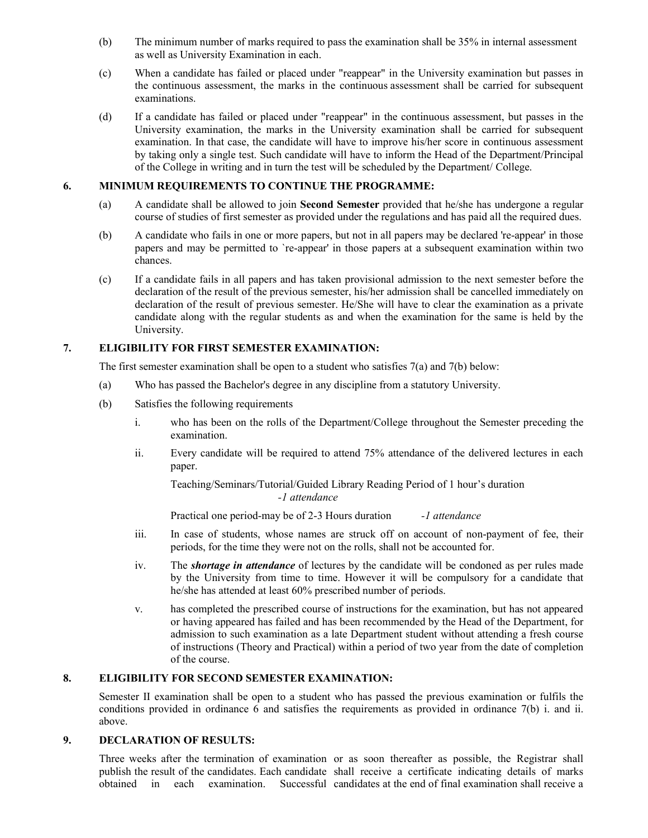- (b) The minimum number of marks required to pass the examination shall be 35% in internal assessment as well as University Examination in each.
- (c) When a candidate has failed or placed under "reappear" in the University examination but passes in the continuous assessment, the marks in the continuous assessment shall be carried for subsequent examinations.
- (d) If a candidate has failed or placed under "reappear" in the continuous assessment, but passes in the University examination, the marks in the University examination shall be carried for subsequent examination. In that case, the candidate will have to improve his/her score in continuous assessment by taking only a single test. Such candidate will have to inform the Head of the Department/Principal of the College in writing and in turn the test will be scheduled by the Department/ College.

## 6. MINIMUM REQUIREMENTS TO CONTINUE THE PROGRAMME:

- (a) A candidate shall be allowed to join Second Semester provided that he/she has undergone a regular course of studies of first semester as provided under the regulations and has paid all the required dues.
- (b) A candidate who fails in one or more papers, but not in all papers may be declared 're-appear' in those papers and may be permitted to `re-appear' in those papers at a subsequent examination within two chances.
- (c) If a candidate fails in all papers and has taken provisional admission to the next semester before the declaration of the result of the previous semester, his/her admission shall be cancelled immediately on declaration of the result of previous semester. He/She will have to clear the examination as a private candidate along with the regular students as and when the examination for the same is held by the University.

## 7. ELIGIBILITY FOR FIRST SEMESTER EXAMINATION:

The first semester examination shall be open to a student who satisfies 7(a) and 7(b) below:

- (a) Who has passed the Bachelor's degree in any discipline from a statutory University.
- (b) Satisfies the following requirements
	- i. who has been on the rolls of the Department/College throughout the Semester preceding the examination.
	- ii. Every candidate will be required to attend 75% attendance of the delivered lectures in each paper.

Teaching/Seminars/Tutorial/Guided Library Reading Period of 1 hour's duration -1 attendance

Practical one period-may be of 2-3 Hours duration -1 attendance

- iii. In case of students, whose names are struck off on account of non-payment of fee, their periods, for the time they were not on the rolls, shall not be accounted for.
- iv. The *shortage in attendance* of lectures by the candidate will be condoned as per rules made by the University from time to time. However it will be compulsory for a candidate that he/she has attended at least 60% prescribed number of periods.
- v. has completed the prescribed course of instructions for the examination, but has not appeared or having appeared has failed and has been recommended by the Head of the Department, for admission to such examination as a late Department student without attending a fresh course of instructions (Theory and Practical) within a period of two year from the date of completion of the course.

## 8. ELIGIBILITY FOR SECOND SEMESTER EXAMINATION:

 Semester II examination shall be open to a student who has passed the previous examination or fulfils the conditions provided in ordinance 6 and satisfies the requirements as provided in ordinance 7(b) i. and ii. above.

#### 9. DECLARATION OF RESULTS:

Three weeks after the termination of examination or as soon thereafter as possible, the Registrar shall publish the result of the candidates. Each candidate shall receive a certificate indicating details of marks obtained in each examination. Successful candidates at the end of final examination shall receive a obtained in each examination. Successful candidates at the end of final examination shall receive a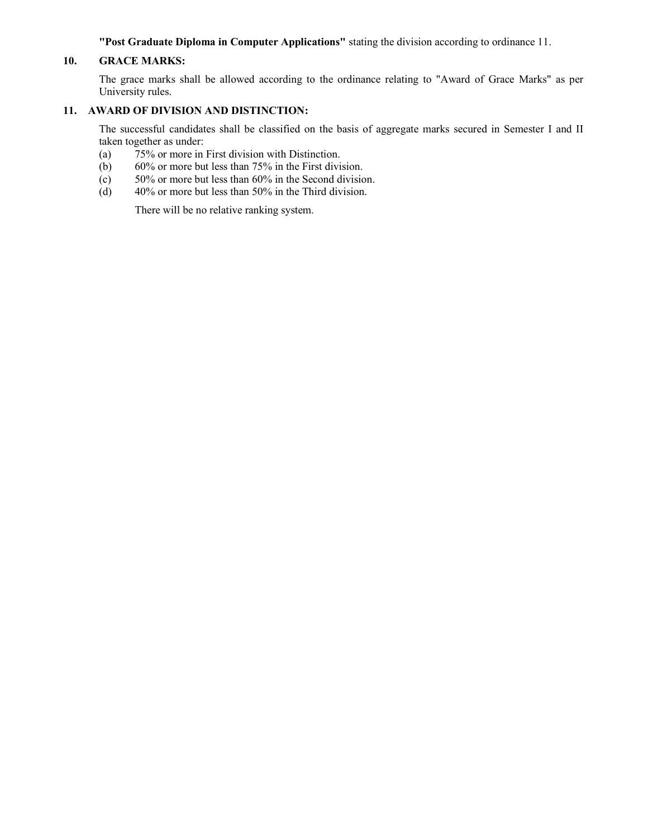"Post Graduate Diploma in Computer Applications" stating the division according to ordinance 11.

## 10. GRACE MARKS:

The grace marks shall be allowed according to the ordinance relating to "Award of Grace Marks" as per University rules.

## 11. AWARD OF DIVISION AND DISTINCTION:

The successful candidates shall be classified on the basis of aggregate marks secured in Semester I and II taken together as under:

- (a) 75% or more in First division with Distinction.
- (b) 60% or more but less than 75% in the First division.
- (c) 50% or more but less than 60% in the Second division.<br>
(d) 40% or more but less than 50% in the Third division.
- $40\%$  or more but less than 50% in the Third division.

There will be no relative ranking system.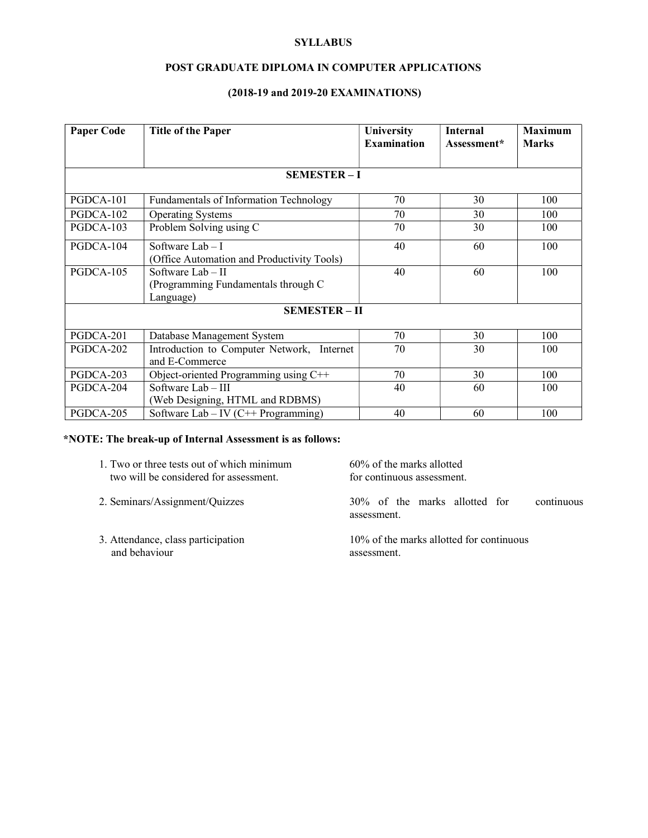## **SYLLABUS**

## POST GRADUATE DIPLOMA IN COMPUTER APPLICATIONS

## (2018-19 and 2019-20 EXAMINATIONS)

| <b>Paper Code</b> | <b>Title of the Paper</b>                                             | University<br><b>Examination</b> | <b>Internal</b><br>Assessment* | <b>Maximum</b><br><b>Marks</b> |
|-------------------|-----------------------------------------------------------------------|----------------------------------|--------------------------------|--------------------------------|
|                   | <b>SEMESTER-I</b>                                                     |                                  |                                |                                |
| PGDCA-101         | <b>Fundamentals of Information Technology</b>                         | 70                               | 30                             | 100                            |
| PGDCA-102         | <b>Operating Systems</b>                                              | 70                               | 30                             | 100                            |
| PGDCA-103         | Problem Solving using C                                               | 70                               | 30                             | 100                            |
| PGDCA-104         | Software $Lab-I$<br>(Office Automation and Productivity Tools)        | 40                               | 60                             | 100                            |
| PGDCA-105         | Software Lab - II<br>(Programming Fundamentals through C<br>Language) | 40                               | 60                             | 100                            |
|                   | <b>SEMESTER-II</b>                                                    |                                  |                                |                                |
| PGDCA-201         | Database Management System                                            | 70                               | 30                             | 100                            |
| PGDCA-202         | Introduction to Computer Network, Internet<br>and E-Commerce          | 70                               | 30                             | 100                            |
| PGDCA-203         | Object-oriented Programming using C++                                 | 70                               | 30                             | 100                            |
| PGDCA-204         | Software Lab - III<br>(Web Designing, HTML and RDBMS)                 | 40                               | 60                             | 100                            |
| PGDCA-205         | Software Lab – IV (C++ Programming)                                   | 40                               | 60                             | 100                            |

## \*NOTE: The break-up of Internal Assessment is as follows:

| 1. Two or three tests out of which minimum | 60% of the marks allotted  |
|--------------------------------------------|----------------------------|
| two will be considered for assessment.     | for continuous assessment. |

- 
- and behaviour assessment.

2. Seminars/Assignment/Quizzes 30% of the marks allotted for continuous assessment.

3. Attendance, class participation 10% of the marks allotted for continuous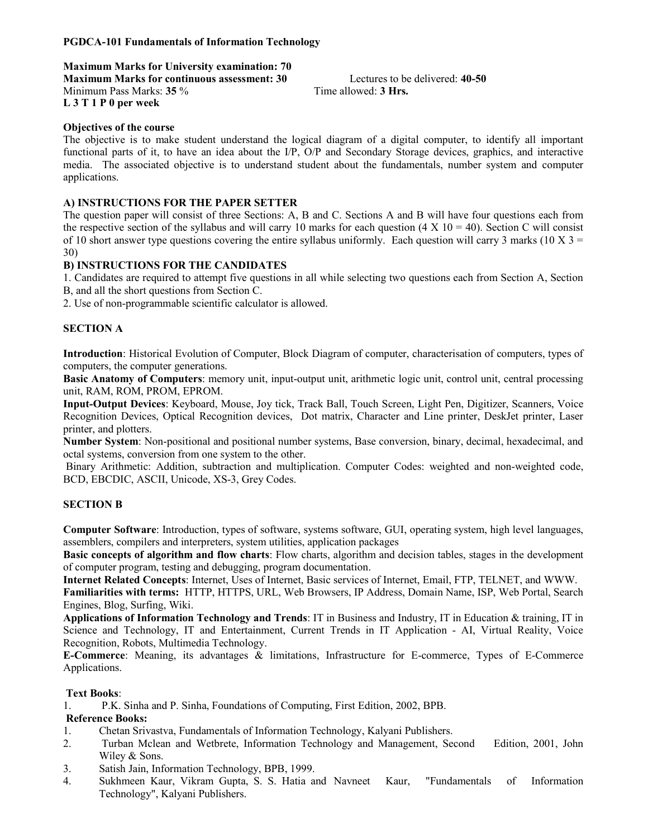## PGDCA-101 Fundamentals of Information Technology

Maximum Marks for University examination: 70

Maximum Marks for continuous assessment: 30 Lectures to be delivered: 40-50 Minimum Pass Marks: 35 % Time allowed: 3 Hrs. L 3 T 1 P 0 per week

### Objectives of the course

The objective is to make student understand the logical diagram of a digital computer, to identify all important functional parts of it, to have an idea about the I/P, O/P and Secondary Storage devices, graphics, and interactive media. The associated objective is to understand student about the fundamentals, number system and computer applications.

## A) INSTRUCTIONS FOR THE PAPER SETTER

The question paper will consist of three Sections: A, B and C. Sections A and B will have four questions each from the respective section of the syllabus and will carry 10 marks for each question (4 X 10 = 40). Section C will consist of 10 short answer type questions covering the entire syllabus uniformly. Each question will carry 3 marks (10 X  $3 =$ 30)

## B) INSTRUCTIONS FOR THE CANDIDATES

1. Candidates are required to attempt five questions in all while selecting two questions each from Section A, Section B, and all the short questions from Section C.

2. Use of non-programmable scientific calculator is allowed.

## SECTION A

Introduction: Historical Evolution of Computer, Block Diagram of computer, characterisation of computers, types of computers, the computer generations.

Basic Anatomy of Computers: memory unit, input-output unit, arithmetic logic unit, control unit, central processing unit, RAM, ROM, PROM, EPROM.

Input-Output Devices: Keyboard, Mouse, Joy tick, Track Ball, Touch Screen, Light Pen, Digitizer, Scanners, Voice Recognition Devices, Optical Recognition devices, Dot matrix, Character and Line printer, DeskJet printer, Laser printer, and plotters.

Number System: Non-positional and positional number systems, Base conversion, binary, decimal, hexadecimal, and octal systems, conversion from one system to the other.

 Binary Arithmetic: Addition, subtraction and multiplication. Computer Codes: weighted and non-weighted code, BCD, EBCDIC, ASCII, Unicode, XS-3, Grey Codes.

#### SECTION B

Computer Software: Introduction, types of software, systems software, GUI, operating system, high level languages, assemblers, compilers and interpreters, system utilities, application packages

Basic concepts of algorithm and flow charts: Flow charts, algorithm and decision tables, stages in the development of computer program, testing and debugging, program documentation.

Internet Related Concepts: Internet, Uses of Internet, Basic services of Internet, Email, FTP, TELNET, and WWW.

Familiarities with terms: HTTP, HTTPS, URL, Web Browsers, IP Address, Domain Name, ISP, Web Portal, Search Engines, Blog, Surfing, Wiki.

Applications of Information Technology and Trends: IT in Business and Industry, IT in Education & training, IT in Science and Technology, IT and Entertainment, Current Trends in IT Application - AI, Virtual Reality, Voice Recognition, Robots, Multimedia Technology.

E-Commerce: Meaning, its advantages & limitations, Infrastructure for E-commerce, Types of E-Commerce Applications.

### Text Books:

1. P.K. Sinha and P. Sinha, Foundations of Computing, First Edition, 2002, BPB.

#### Reference Books:

- 1. Chetan Srivastva, Fundamentals of Information Technology, Kalyani Publishers.
- 2. Turban Mclean and Wetbrete, Information Technology and Management, Second Edition, 2001, John Wiley & Sons.
- 3. Satish Jain, Information Technology, BPB, 1999.
- 4. Sukhmeen Kaur, Vikram Gupta, S. S. Hatia and Navneet Kaur, "Fundamentals of Information Technology", Kalyani Publishers.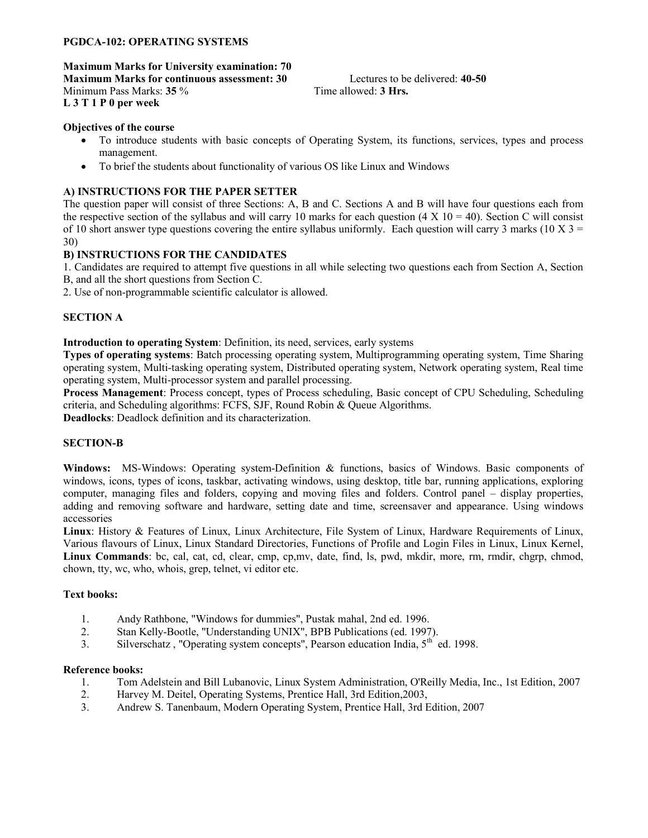## PGDCA-102: OPERATING SYSTEMS

Maximum Marks for University examination: 70 Maximum Marks for continuous assessment: 30 Lectures to be delivered: 40-50 Minimum Pass Marks: 35 % Time allowed: 3 Hrs. L 3 T 1 P 0 per week

### Objectives of the course

- To introduce students with basic concepts of Operating System, its functions, services, types and process management.
- To brief the students about functionality of various OS like Linux and Windows

## A) INSTRUCTIONS FOR THE PAPER SETTER

The question paper will consist of three Sections: A, B and C. Sections A and B will have four questions each from the respective section of the syllabus and will carry 10 marks for each question (4 X 10 = 40). Section C will consist of 10 short answer type questions covering the entire syllabus uniformly. Each question will carry 3 marks (10 X 3 = 30)

## B) INSTRUCTIONS FOR THE CANDIDATES

1. Candidates are required to attempt five questions in all while selecting two questions each from Section A, Section

B, and all the short questions from Section C.

2. Use of non-programmable scientific calculator is allowed.

## SECTION A

Introduction to operating System: Definition, its need, services, early systems

Types of operating systems: Batch processing operating system, Multiprogramming operating system, Time Sharing operating system, Multi-tasking operating system, Distributed operating system, Network operating system, Real time operating system, Multi-processor system and parallel processing.

Process Management: Process concept, types of Process scheduling, Basic concept of CPU Scheduling, Scheduling criteria, and Scheduling algorithms: FCFS, SJF, Round Robin & Queue Algorithms.

Deadlocks: Deadlock definition and its characterization.

## SECTION-B

Windows: MS-Windows: Operating system-Definition & functions, basics of Windows. Basic components of windows, icons, types of icons, taskbar, activating windows, using desktop, title bar, running applications, exploring computer, managing files and folders, copying and moving files and folders. Control panel – display properties, adding and removing software and hardware, setting date and time, screensaver and appearance. Using windows accessories

Linux: History & Features of Linux, Linux Architecture, File System of Linux, Hardware Requirements of Linux, Various flavours of Linux, Linux Standard Directories, Functions of Profile and Login Files in Linux, Linux Kernel, Linux Commands: bc, cal, cat, cd, clear, cmp, cp,mv, date, find, ls, pwd, mkdir, more, rm, rmdir, chgrp, chmod, chown, tty, wc, who, whois, grep, telnet, vi editor etc.

#### Text books:

- 1. Andy Rathbone, "Windows for dummies", Pustak mahal, 2nd ed. 1996.
- 2. Stan Kelly-Bootle, "Understanding UNIX", BPB Publications (ed. 1997).
- 3. Silverschatz, "Operating system concepts", Pearson education India,  $5<sup>th</sup>$  ed. 1998.

#### Reference books:

- 1. Tom Adelstein and Bill Lubanovic, Linux System Administration, O'Reilly Media, Inc., 1st Edition, 2007
- 2. Harvey M. Deitel, Operating Systems, Prentice Hall, 3rd Edition,2003,
- 3. Andrew S. Tanenbaum, Modern Operating System, Prentice Hall, 3rd Edition, 2007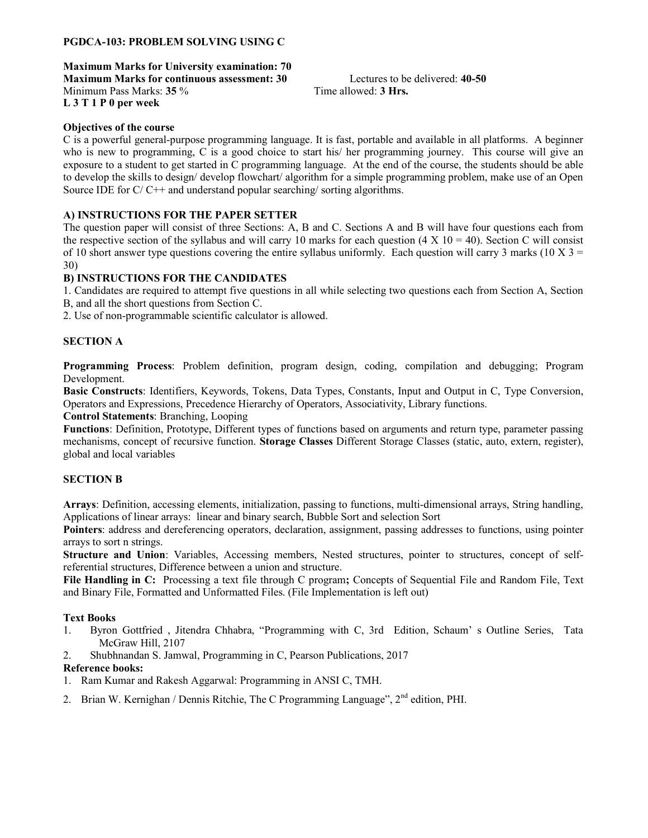## PGDCA-103: PROBLEM SOLVING USING C

Maximum Marks for University examination: 70 Maximum Marks for continuous assessment: 30 Lectures to be delivered: 40-50 Minimum Pass Marks: 35 % Time allowed: 3 Hrs. L 3 T 1 P 0 per week

## Objectives of the course

C is a powerful general-purpose programming language. It is fast, portable and available in all platforms. A beginner who is new to programming, C is a good choice to start his/ her programming journey. This course will give an exposure to a student to get started in C programming language. At the end of the course, the students should be able to develop the skills to design/ develop flowchart/ algorithm for a simple programming problem, make use of an Open Source IDE for  $C/C++$  and understand popular searching/ sorting algorithms.

## A) INSTRUCTIONS FOR THE PAPER SETTER

The question paper will consist of three Sections: A, B and C. Sections A and B will have four questions each from the respective section of the syllabus and will carry 10 marks for each question (4 X 10 = 40). Section C will consist of 10 short answer type questions covering the entire syllabus uniformly. Each question will carry 3 marks (10 X 3 = 30)

#### B) INSTRUCTIONS FOR THE CANDIDATES

1. Candidates are required to attempt five questions in all while selecting two questions each from Section A, Section B, and all the short questions from Section C.

2. Use of non-programmable scientific calculator is allowed.

#### SECTION A

Programming Process: Problem definition, program design, coding, compilation and debugging; Program Development.

Basic Constructs: Identifiers, Keywords, Tokens, Data Types, Constants, Input and Output in C, Type Conversion, Operators and Expressions, Precedence Hierarchy of Operators, Associativity, Library functions.

Control Statements: Branching, Looping

Functions: Definition, Prototype, Different types of functions based on arguments and return type, parameter passing mechanisms, concept of recursive function. Storage Classes Different Storage Classes (static, auto, extern, register), global and local variables

#### SECTION B

Arrays: Definition, accessing elements, initialization, passing to functions, multi-dimensional arrays, String handling, Applications of linear arrays: linear and binary search, Bubble Sort and selection Sort

Pointers: address and dereferencing operators, declaration, assignment, passing addresses to functions, using pointer arrays to sort n strings.

Structure and Union: Variables, Accessing members, Nested structures, pointer to structures, concept of selfreferential structures, Difference between a union and structure.

File Handling in C: Processing a text file through C program; Concepts of Sequential File and Random File, Text and Binary File, Formatted and Unformatted Files. (File Implementation is left out)

#### Text Books

- 1. Byron Gottfried , Jitendra Chhabra, "Programming with C, 3rd Edition, Schaum' s Outline Series, Tata McGraw Hill, 2107
- 2. Shubhnandan S. Jamwal, Programming in C, Pearson Publications, 2017

#### Reference books:

- 1. Ram Kumar and Rakesh Aggarwal: Programming in ANSI C, TMH.
- 2. Brian W. Kernighan / Dennis Ritchie, The C Programming Language", 2<sup>nd</sup> edition, PHI.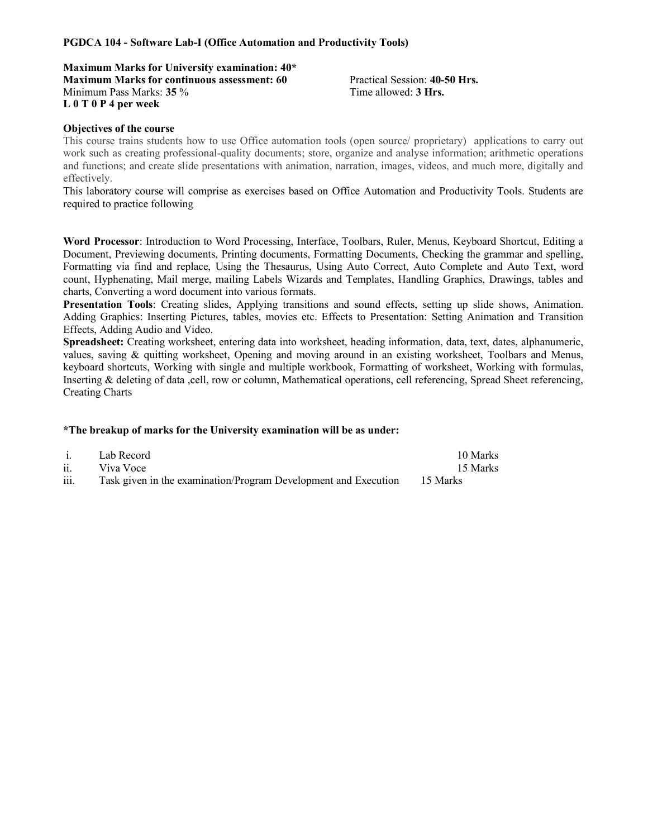#### PGDCA 104 - Software Lab-I (Office Automation and Productivity Tools)

Maximum Marks for University examination: 40\* Maximum Marks for continuous assessment: 60 Practical Session: 40-50 Hrs. Minimum Pass Marks: 35 % Time allowed: 3 Hrs. L 0 T 0 P 4 per week

### Objectives of the course

This course trains students how to use Office automation tools (open source/ proprietary) applications to carry out work such as creating professional-quality documents; store, organize and analyse information; arithmetic operations and functions; and create slide presentations with animation, narration, images, videos, and much more, digitally and effectively.

This laboratory course will comprise as exercises based on Office Automation and Productivity Tools. Students are required to practice following

Word Processor: Introduction to Word Processing, Interface, Toolbars, Ruler, Menus, Keyboard Shortcut, Editing a Document, Previewing documents, Printing documents, Formatting Documents, Checking the grammar and spelling, Formatting via find and replace, Using the Thesaurus, Using Auto Correct, Auto Complete and Auto Text, word count, Hyphenating, Mail merge, mailing Labels Wizards and Templates, Handling Graphics, Drawings, tables and charts, Converting a word document into various formats.

Presentation Tools: Creating slides, Applying transitions and sound effects, setting up slide shows, Animation. Adding Graphics: Inserting Pictures, tables, movies etc. Effects to Presentation: Setting Animation and Transition Effects, Adding Audio and Video.

Spreadsheet: Creating worksheet, entering data into worksheet, heading information, data, text, dates, alphanumeric, values, saving & quitting worksheet, Opening and moving around in an existing worksheet, Toolbars and Menus, keyboard shortcuts, Working with single and multiple workbook, Formatting of worksheet, Working with formulas, Inserting & deleting of data ,cell, row or column, Mathematical operations, cell referencing, Spread Sheet referencing, Creating Charts

| $\mathbf{i}$               | Lab Record                                                               | 10 Marks |
|----------------------------|--------------------------------------------------------------------------|----------|
| $\overline{\mathbf{ii}}$ . | Viva Voce                                                                | 15 Marks |
| iii.                       | Task given in the examination/Program Development and Execution 15 Marks |          |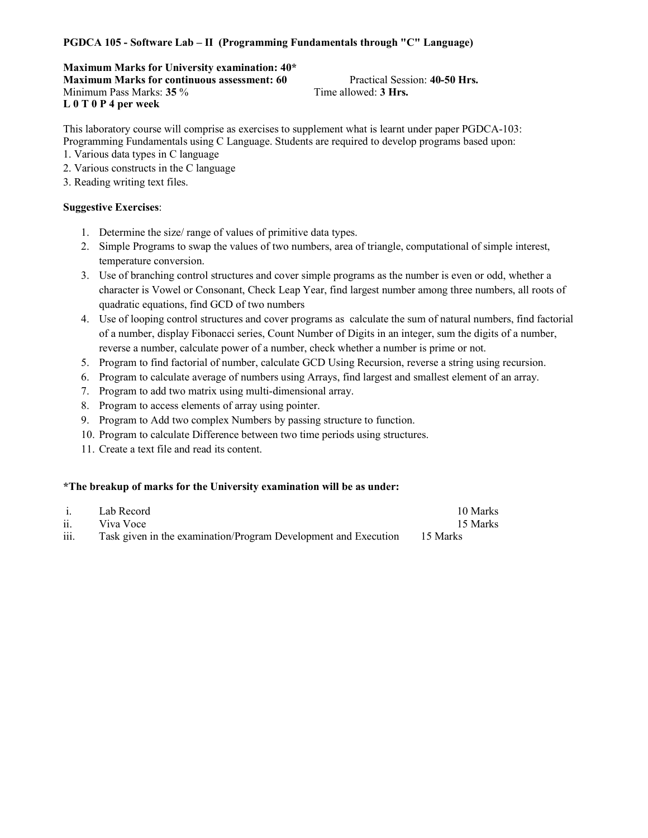## PGDCA 105 - Software Lab – II (Programming Fundamentals through "C" Language)

Maximum Marks for University examination: 40\* Maximum Marks for continuous assessment: 60 Practical Session: 40-50 Hrs. Minimum Pass Marks: 35 % Time allowed: 3 Hrs. L 0 T 0 P 4 per week

This laboratory course will comprise as exercises to supplement what is learnt under paper PGDCA-103: Programming Fundamentals using C Language. Students are required to develop programs based upon:

- 1. Various data types in C language
- 2. Various constructs in the C language
- 3. Reading writing text files.

### Suggestive Exercises:

- 1. Determine the size/ range of values of primitive data types.
- 2. Simple Programs to swap the values of two numbers, area of triangle, computational of simple interest, temperature conversion.
- 3. Use of branching control structures and cover simple programs as the number is even or odd, whether a character is Vowel or Consonant, Check Leap Year, find largest number among three numbers, all roots of quadratic equations, find GCD of two numbers
- 4. Use of looping control structures and cover programs as calculate the sum of natural numbers, find factorial of a number, display Fibonacci series, Count Number of Digits in an integer, sum the digits of a number, reverse a number, calculate power of a number, check whether a number is prime or not.
- 5. Program to find factorial of number, calculate GCD Using Recursion, reverse a string using recursion.
- 6. Program to calculate average of numbers using Arrays, find largest and smallest element of an array.
- 7. Program to add two matrix using multi-dimensional array.
- 8. Program to access elements of array using pointer.
- 9. Program to Add two complex Numbers by passing structure to function.
- 10. Program to calculate Difference between two time periods using structures.
- 11. Create a text file and read its content.

| $\mathbf{i}$ | Lab Record                                                               | 10 Marks |
|--------------|--------------------------------------------------------------------------|----------|
| ii.          | Viva Voce                                                                | 15 Marks |
| iii.         | Task given in the examination/Program Development and Execution 15 Marks |          |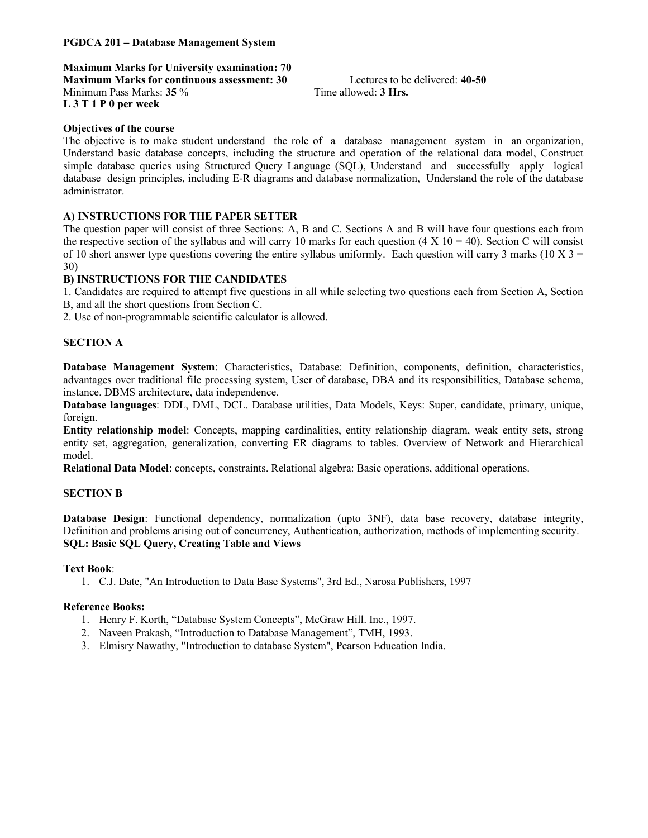#### PGDCA 201 – Database Management System

Maximum Marks for University examination: 70 Maximum Marks for continuous assessment: 30 Lectures to be delivered: 40-50

Minimum Pass Marks: 35 % Time allowed: 3 Hrs. L 3 T 1 P 0 per week

## Objectives of the course

The objective is to make student understand the role of a database management system in an organization, Understand basic database concepts, including the structure and operation of the relational data model, Construct simple database queries using Structured Query Language (SQL), Understand and successfully apply logical database design principles, including E-R diagrams and database normalization, Understand the role of the database administrator.

## A) INSTRUCTIONS FOR THE PAPER SETTER

The question paper will consist of three Sections: A, B and C. Sections A and B will have four questions each from the respective section of the syllabus and will carry 10 marks for each question (4 X 10 = 40). Section C will consist of 10 short answer type questions covering the entire syllabus uniformly. Each question will carry 3 marks (10 X  $3 =$ 30)

#### B) INSTRUCTIONS FOR THE CANDIDATES

1. Candidates are required to attempt five questions in all while selecting two questions each from Section A, Section B, and all the short questions from Section C.

2. Use of non-programmable scientific calculator is allowed.

#### SECTION A

Database Management System: Characteristics, Database: Definition, components, definition, characteristics, advantages over traditional file processing system, User of database, DBA and its responsibilities, Database schema, instance. DBMS architecture, data independence.

Database languages: DDL, DML, DCL. Database utilities, Data Models, Keys: Super, candidate, primary, unique, foreign.

Entity relationship model: Concepts, mapping cardinalities, entity relationship diagram, weak entity sets, strong entity set, aggregation, generalization, converting ER diagrams to tables. Overview of Network and Hierarchical model.

Relational Data Model: concepts, constraints. Relational algebra: Basic operations, additional operations.

#### SECTION B

Database Design: Functional dependency, normalization (upto 3NF), data base recovery, database integrity, Definition and problems arising out of concurrency, Authentication, authorization, methods of implementing security. SQL: Basic SQL Query, Creating Table and Views

#### Text Book:

1. C.J. Date, "An Introduction to Data Base Systems", 3rd Ed., Narosa Publishers, 1997

#### Reference Books:

- 1. Henry F. Korth, "Database System Concepts", McGraw Hill. Inc., 1997.
- 2. Naveen Prakash, "Introduction to Database Management", TMH, 1993.
- 3. Elmisry Nawathy, "Introduction to database System", Pearson Education India.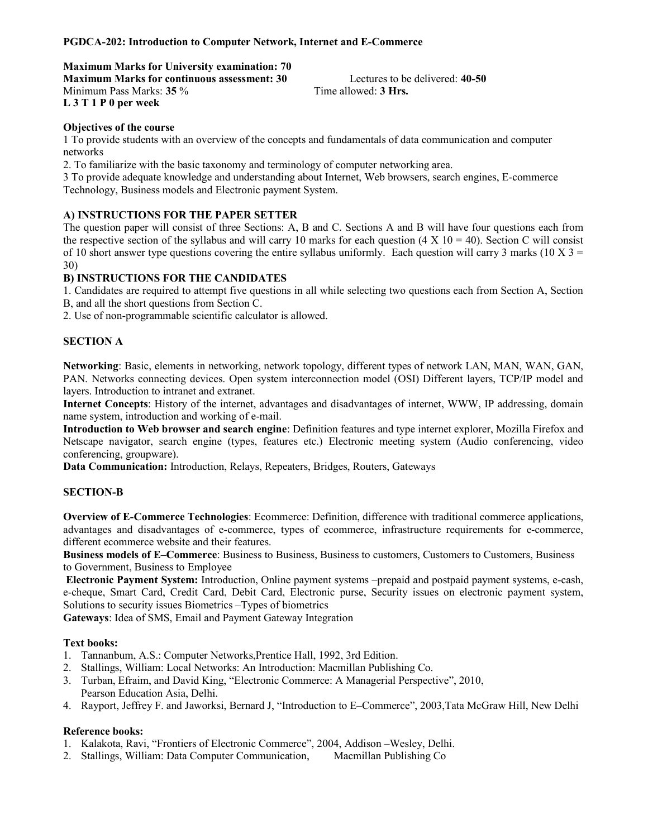## PGDCA-202: Introduction to Computer Network, Internet and E-Commerce

#### Maximum Marks for University examination: 70

Maximum Marks for continuous assessment: 30 Lectures to be delivered: 40-50 Minimum Pass Marks: 35 % Time allowed: 3 Hrs. L 3 T 1 P 0 per week

#### Objectives of the course

1 To provide students with an overview of the concepts and fundamentals of data communication and computer networks

2. To familiarize with the basic taxonomy and terminology of computer networking area.

3 To provide adequate knowledge and understanding about Internet, Web browsers, search engines, E-commerce Technology, Business models and Electronic payment System.

## A) INSTRUCTIONS FOR THE PAPER SETTER

The question paper will consist of three Sections: A, B and C. Sections A and B will have four questions each from the respective section of the syllabus and will carry 10 marks for each question (4 X 10 = 40). Section C will consist of 10 short answer type questions covering the entire syllabus uniformly. Each question will carry 3 marks (10 X 3 = 30)

#### B) INSTRUCTIONS FOR THE CANDIDATES

1. Candidates are required to attempt five questions in all while selecting two questions each from Section A, Section B, and all the short questions from Section C.

2. Use of non-programmable scientific calculator is allowed.

#### SECTION A

Networking: Basic, elements in networking, network topology, different types of network LAN, MAN, WAN, GAN, PAN. Networks connecting devices. Open system interconnection model (OSI) Different layers, TCP/IP model and layers. Introduction to intranet and extranet.

Internet Concepts: History of the internet, advantages and disadvantages of internet, WWW, IP addressing, domain name system, introduction and working of e-mail.

Introduction to Web browser and search engine: Definition features and type internet explorer, Mozilla Firefox and Netscape navigator, search engine (types, features etc.) Electronic meeting system (Audio conferencing, video conferencing, groupware).

Data Communication: Introduction, Relays, Repeaters, Bridges, Routers, Gateways

#### SECTION-B

Overview of E-Commerce Technologies: Ecommerce: Definition, difference with traditional commerce applications, advantages and disadvantages of e-commerce, types of ecommerce, infrastructure requirements for e-commerce, different ecommerce website and their features.

Business models of E–Commerce: Business to Business, Business to customers, Customers to Customers, Business to Government, Business to Employee

Electronic Payment System: Introduction, Online payment systems –prepaid and postpaid payment systems, e-cash, e-cheque, Smart Card, Credit Card, Debit Card, Electronic purse, Security issues on electronic payment system, Solutions to security issues Biometrics –Types of biometrics

Gateways: Idea of SMS, Email and Payment Gateway Integration

#### Text books:

- 1. Tannanbum, A.S.: Computer Networks,Prentice Hall, 1992, 3rd Edition.
- 2. Stallings, William: Local Networks: An Introduction: Macmillan Publishing Co.
- 3. Turban, Efraim, and David King, "Electronic Commerce: A Managerial Perspective", 2010, Pearson Education Asia, Delhi.
- 4. Rayport, Jeffrey F. and Jaworksi, Bernard J, "Introduction to E–Commerce", 2003,Tata McGraw Hill, New Delhi

#### Reference books:

- 1. Kalakota, Ravi, "Frontiers of Electronic Commerce", 2004, Addison –Wesley, Delhi.
- 2. Stallings, William: Data Computer Communication, Macmillan Publishing Co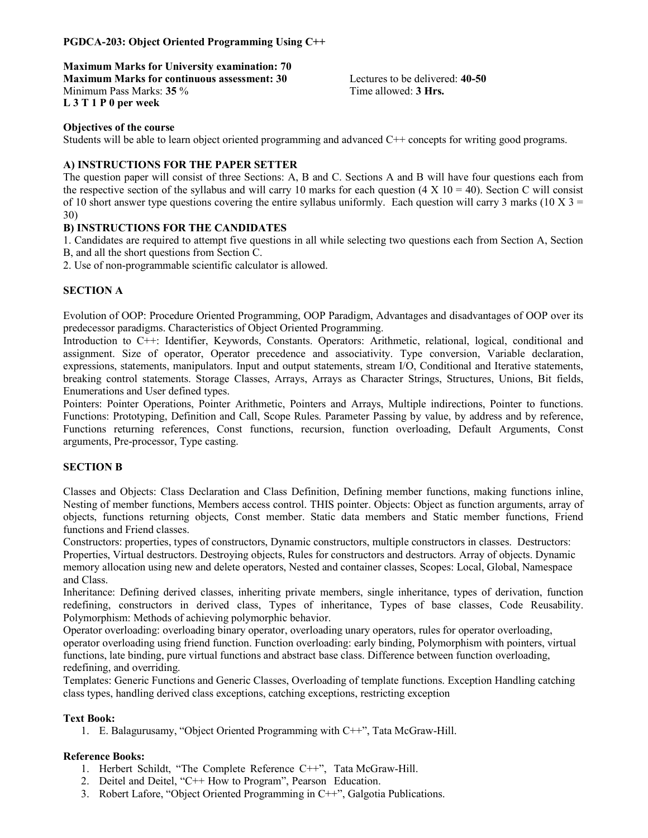## PGDCA-203: Object Oriented Programming Using C++

Maximum Marks for University examination: 70 Maximum Marks for continuous assessment: 30 Lectures to be delivered: 40-50 Minimum Pass Marks: 35 % Time allowed: 3 Hrs. L 3 T 1 P 0 per week

#### Objectives of the course

Students will be able to learn object oriented programming and advanced C++ concepts for writing good programs.

#### A) INSTRUCTIONS FOR THE PAPER SETTER

The question paper will consist of three Sections: A, B and C. Sections A and B will have four questions each from the respective section of the syllabus and will carry 10 marks for each question (4 X 10 = 40). Section C will consist of 10 short answer type questions covering the entire syllabus uniformly. Each question will carry 3 marks (10 X  $3 =$ 30)

#### B) INSTRUCTIONS FOR THE CANDIDATES

1. Candidates are required to attempt five questions in all while selecting two questions each from Section A, Section B, and all the short questions from Section C.

2. Use of non-programmable scientific calculator is allowed.

#### SECTION A

Evolution of OOP: Procedure Oriented Programming, OOP Paradigm, Advantages and disadvantages of OOP over its predecessor paradigms. Characteristics of Object Oriented Programming.

Introduction to C++: Identifier, Keywords, Constants. Operators: Arithmetic, relational, logical, conditional and assignment. Size of operator, Operator precedence and associativity. Type conversion, Variable declaration, expressions, statements, manipulators. Input and output statements, stream I/O, Conditional and Iterative statements, breaking control statements. Storage Classes, Arrays, Arrays as Character Strings, Structures, Unions, Bit fields, Enumerations and User defined types.

Pointers: Pointer Operations, Pointer Arithmetic, Pointers and Arrays, Multiple indirections, Pointer to functions. Functions: Prototyping, Definition and Call, Scope Rules. Parameter Passing by value, by address and by reference, Functions returning references, Const functions, recursion, function overloading, Default Arguments, Const arguments, Pre-processor, Type casting.

#### SECTION B

Classes and Objects: Class Declaration and Class Definition, Defining member functions, making functions inline, Nesting of member functions, Members access control. THIS pointer. Objects: Object as function arguments, array of objects, functions returning objects, Const member. Static data members and Static member functions, Friend functions and Friend classes.

Constructors: properties, types of constructors, Dynamic constructors, multiple constructors in classes. Destructors: Properties, Virtual destructors. Destroying objects, Rules for constructors and destructors. Array of objects. Dynamic memory allocation using new and delete operators, Nested and container classes, Scopes: Local, Global, Namespace and Class.

Inheritance: Defining derived classes, inheriting private members, single inheritance, types of derivation, function redefining, constructors in derived class, Types of inheritance, Types of base classes, Code Reusability. Polymorphism: Methods of achieving polymorphic behavior.

Operator overloading: overloading binary operator, overloading unary operators, rules for operator overloading, operator overloading using friend function. Function overloading: early binding, Polymorphism with pointers, virtual functions, late binding, pure virtual functions and abstract base class. Difference between function overloading, redefining, and overriding.

Templates: Generic Functions and Generic Classes, Overloading of template functions. Exception Handling catching class types, handling derived class exceptions, catching exceptions, restricting exception

#### Text Book:

1. E. Balagurusamy, "Object Oriented Programming with C++", Tata McGraw-Hill.

#### Reference Books:

- 1. Herbert Schildt, "The Complete Reference C++", Tata McGraw-Hill.
- 2. Deitel and Deitel, "C++ How to Program", Pearson Education.
- 3. Robert Lafore, "Object Oriented Programming in C++", Galgotia Publications.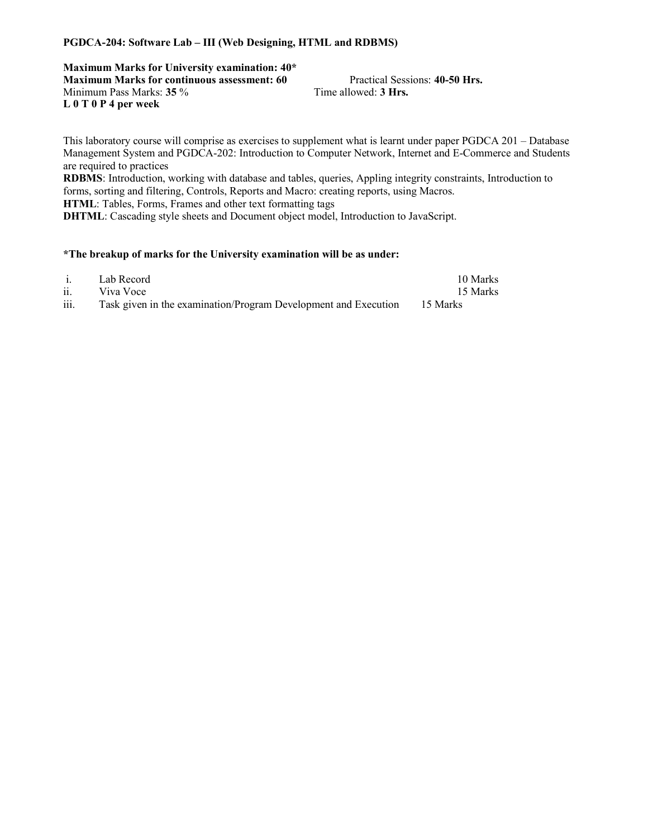#### PGDCA-204: Software Lab – III (Web Designing, HTML and RDBMS)

Maximum Marks for University examination: 40\* Maximum Marks for continuous assessment: 60 Practical Sessions: 40-50 Hrs. Minimum Pass Marks: 35 % Time allowed: 3 Hrs. L 0 T 0 P 4 per week

This laboratory course will comprise as exercises to supplement what is learnt under paper PGDCA 201 – Database Management System and PGDCA-202: Introduction to Computer Network, Internet and E-Commerce and Students are required to practices RDBMS: Introduction, working with database and tables, queries, Appling integrity constraints, Introduction to

forms, sorting and filtering, Controls, Reports and Macro: creating reports, using Macros. HTML: Tables, Forms, Frames and other text formatting tags

DHTML: Cascading style sheets and Document object model, Introduction to JavaScript.

| $\mathbf{1}$          | Lab Record                                                               | 10 Marks |
|-----------------------|--------------------------------------------------------------------------|----------|
| $\ddot{\mathbf{i}}$ . | Viva Voce                                                                | 15 Marks |
| iii.                  | Task given in the examination/Program Development and Execution 15 Marks |          |